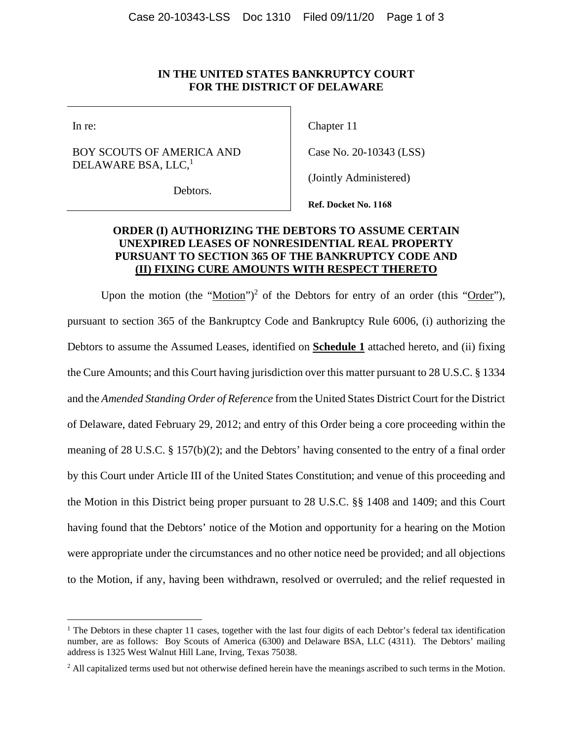#### **IN THE UNITED STATES BANKRUPTCY COURT FOR THE DISTRICT OF DELAWARE**

In re:

## BOY SCOUTS OF AMERICA AND DELAWARE BSA, LLC, $<sup>1</sup>$ </sup>

Debtors.

Chapter 11

Case No. 20-10343 (LSS)

(Jointly Administered)

**Ref. Docket No. 1168**

## **ORDER (I) AUTHORIZING THE DEBTORS TO ASSUME CERTAIN UNEXPIRED LEASES OF NONRESIDENTIAL REAL PROPERTY PURSUANT TO SECTION 365 OF THE BANKRUPTCY CODE AND (II) FIXING CURE AMOUNTS WITH RESPECT THERETO**

Upon the motion (the " $Motion$ ")<sup>2</sup> of the Debtors for entry of an order (this " $Order$ "),</u></u> pursuant to section 365 of the Bankruptcy Code and Bankruptcy Rule 6006, (i) authorizing the Debtors to assume the Assumed Leases, identified on **Schedule 1** attached hereto, and (ii) fixing the Cure Amounts; and this Court having jurisdiction over this matter pursuant to 28 U.S.C. § 1334 and the *Amended Standing Order of Reference* from the United States District Court for the District of Delaware, dated February 29, 2012; and entry of this Order being a core proceeding within the meaning of 28 U.S.C. § 157(b)(2); and the Debtors' having consented to the entry of a final order by this Court under Article III of the United States Constitution; and venue of this proceeding and the Motion in this District being proper pursuant to 28 U.S.C. §§ 1408 and 1409; and this Court having found that the Debtors' notice of the Motion and opportunity for a hearing on the Motion were appropriate under the circumstances and no other notice need be provided; and all objections to the Motion, if any, having been withdrawn, resolved or overruled; and the relief requested in

<sup>&</sup>lt;sup>1</sup> The Debtors in these chapter 11 cases, together with the last four digits of each Debtor's federal tax identification number, are as follows: Boy Scouts of America (6300) and Delaware BSA, LLC (4311). The Debtors' mailing address is 1325 West Walnut Hill Lane, Irving, Texas 75038.

<sup>&</sup>lt;sup>2</sup> All capitalized terms used but not otherwise defined herein have the meanings ascribed to such terms in the Motion.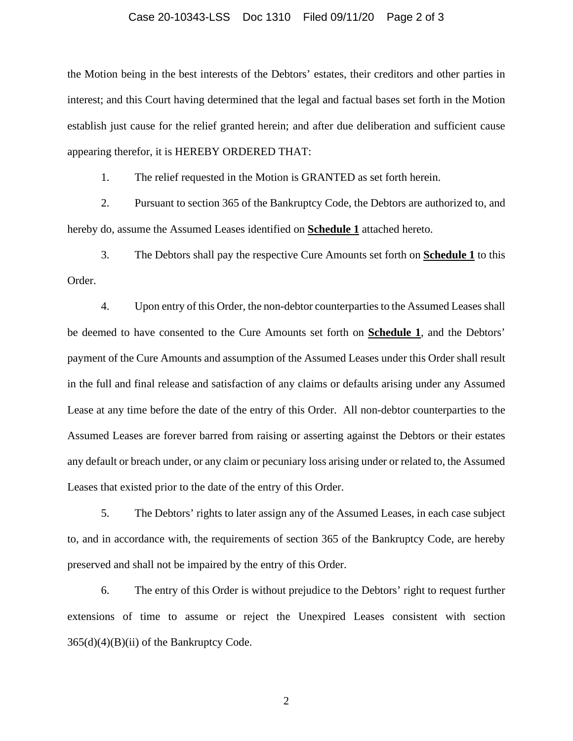#### Case 20-10343-LSS Doc 1310 Filed 09/11/20 Page 2 of 3

the Motion being in the best interests of the Debtors' estates, their creditors and other parties in interest; and this Court having determined that the legal and factual bases set forth in the Motion establish just cause for the relief granted herein; and after due deliberation and sufficient cause appearing therefor, it is HEREBY ORDERED THAT:

1. The relief requested in the Motion is GRANTED as set forth herein.

2. Pursuant to section 365 of the Bankruptcy Code, the Debtors are authorized to, and hereby do, assume the Assumed Leases identified on **Schedule 1** attached hereto.

3. The Debtors shall pay the respective Cure Amounts set forth on **Schedule 1** to this Order.

4. Upon entry of this Order, the non-debtor counterparties to the Assumed Leases shall be deemed to have consented to the Cure Amounts set forth on **Schedule 1**, and the Debtors' payment of the Cure Amounts and assumption of the Assumed Leases under this Order shall result in the full and final release and satisfaction of any claims or defaults arising under any Assumed Lease at any time before the date of the entry of this Order. All non-debtor counterparties to the Assumed Leases are forever barred from raising or asserting against the Debtors or their estates any default or breach under, or any claim or pecuniary loss arising under or related to, the Assumed Leases that existed prior to the date of the entry of this Order.

5. The Debtors' rights to later assign any of the Assumed Leases, in each case subject to, and in accordance with, the requirements of section 365 of the Bankruptcy Code, are hereby preserved and shall not be impaired by the entry of this Order.

6. The entry of this Order is without prejudice to the Debtors' right to request further extensions of time to assume or reject the Unexpired Leases consistent with section  $365(d)(4)(B)(ii)$  of the Bankruptcy Code.

2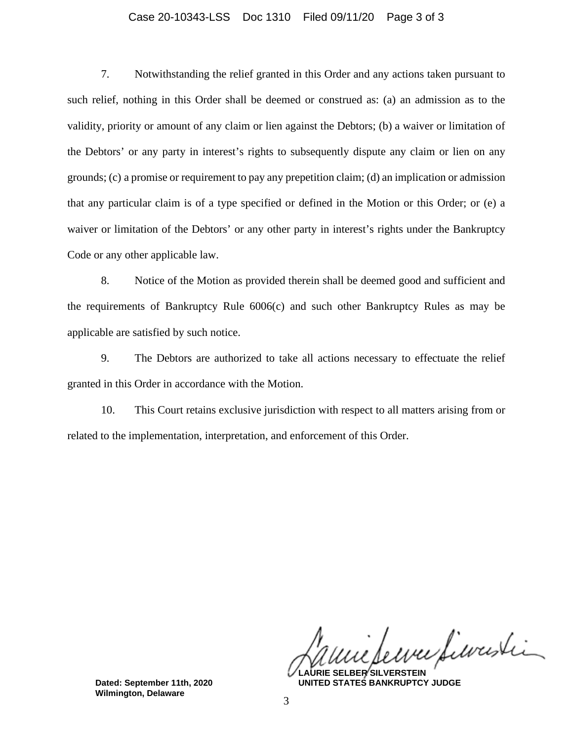#### Case 20-10343-LSS Doc 1310 Filed 09/11/20 Page 3 of 3

7. Notwithstanding the relief granted in this Order and any actions taken pursuant to such relief, nothing in this Order shall be deemed or construed as: (a) an admission as to the validity, priority or amount of any claim or lien against the Debtors; (b) a waiver or limitation of the Debtors' or any party in interest's rights to subsequently dispute any claim or lien on any grounds; (c) a promise or requirement to pay any prepetition claim; (d) an implication or admission that any particular claim is of a type specified or defined in the Motion or this Order; or (e) a waiver or limitation of the Debtors' or any other party in interest's rights under the Bankruptcy Code or any other applicable law.

8. Notice of the Motion as provided therein shall be deemed good and sufficient and the requirements of Bankruptcy Rule 6006(c) and such other Bankruptcy Rules as may be applicable are satisfied by such notice.

9. The Debtors are authorized to take all actions necessary to effectuate the relief granted in this Order in accordance with the Motion.

10. This Court retains exclusive jurisdiction with respect to all matters arising from or related to the implementation, interpretation, and enforcement of this Order.

eure filoristi

**LAURIE SELBER SILVERSTEIN UNITED STATES BANKRUPTCY JUDGE**

**Dated: September 11th, 2020 Wilmington, Delaware**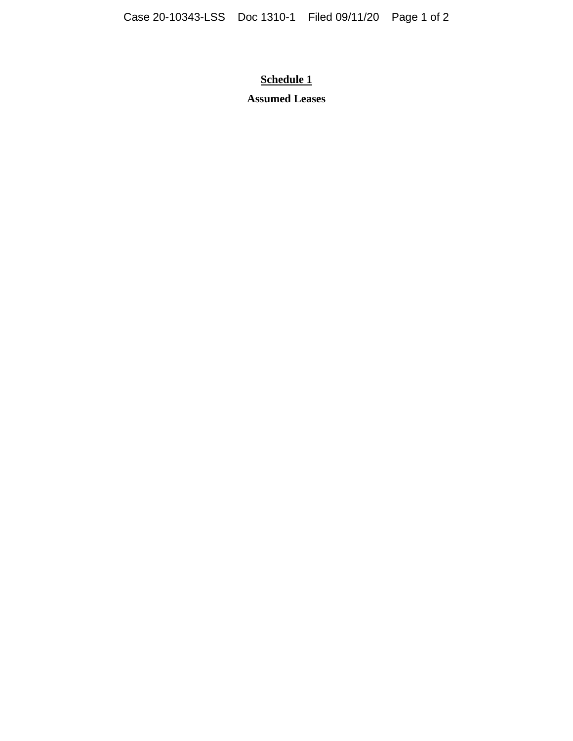# **Schedule 1**

# **Assumed Leases**